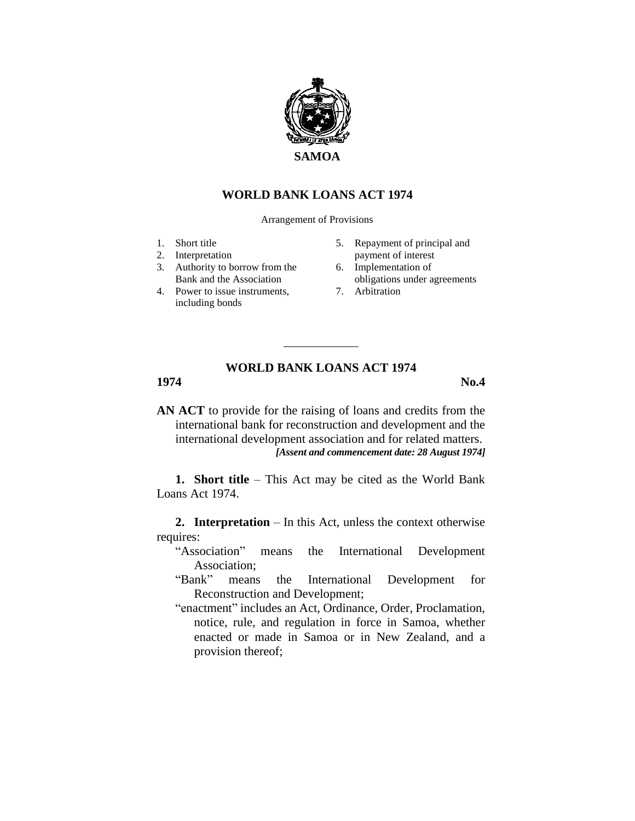

## **WORLD BANK LOANS ACT 1974**

Arrangement of Provisions

- 1. Short title
- 2. Interpretation
- 3. Authority to borrow from the Bank and the Association
- 4. Power to issue instruments, including bonds
- 5. Repayment of principal and payment of interest
- 6. Implementation of
- obligations under agreements 7. Arbitration

## **WORLD BANK LOANS ACT 1974**

**1974 No.4**

**AN ACT** to provide for the raising of loans and credits from the international bank for reconstruction and development and the international development association and for related matters. *[Assent and commencement date: 28 August 1974]*

**1. Short title** – This Act may be cited as the World Bank Loans Act 1974.

**2. Interpretation** – In this Act, unless the context otherwise requires:

- "Association" means the International Development Association;
- "Bank" means the International Development for Reconstruction and Development;
- "enactment" includes an Act, Ordinance, Order, Proclamation, notice, rule, and regulation in force in Samoa, whether enacted or made in Samoa or in New Zealand, and a provision thereof;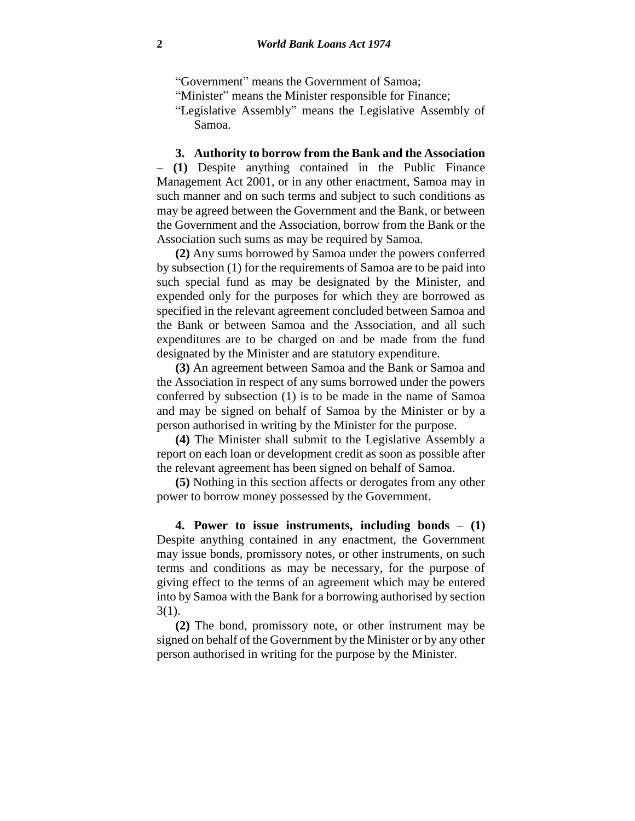"Government" means the Government of Samoa;

"Minister" means the Minister responsible for Finance;

"Legislative Assembly" means the Legislative Assembly of Samoa.

**3. Authority to borrow from the Bank and the Association** – **(1)** Despite anything contained in the Public Finance Management Act 2001, or in any other enactment, Samoa may in such manner and on such terms and subject to such conditions as may be agreed between the Government and the Bank, or between the Government and the Association, borrow from the Bank or the Association such sums as may be required by Samoa.

**(2)** Any sums borrowed by Samoa under the powers conferred by subsection (1) for the requirements of Samoa are to be paid into such special fund as may be designated by the Minister, and expended only for the purposes for which they are borrowed as specified in the relevant agreement concluded between Samoa and the Bank or between Samoa and the Association, and all such expenditures are to be charged on and be made from the fund designated by the Minister and are statutory expenditure.

**(3)** An agreement between Samoa and the Bank or Samoa and the Association in respect of any sums borrowed under the powers conferred by subsection (1) is to be made in the name of Samoa and may be signed on behalf of Samoa by the Minister or by a person authorised in writing by the Minister for the purpose.

**(4)** The Minister shall submit to the Legislative Assembly a report on each loan or development credit as soon as possible after the relevant agreement has been signed on behalf of Samoa.

**(5)** Nothing in this section affects or derogates from any other power to borrow money possessed by the Government.

**4. Power to issue instruments, including bonds** – **(1)** Despite anything contained in any enactment, the Government may issue bonds, promissory notes, or other instruments, on such terms and conditions as may be necessary, for the purpose of giving effect to the terms of an agreement which may be entered into by Samoa with the Bank for a borrowing authorised by section 3(1).

**(2)** The bond, promissory note, or other instrument may be signed on behalf of the Government by the Minister or by any other person authorised in writing for the purpose by the Minister.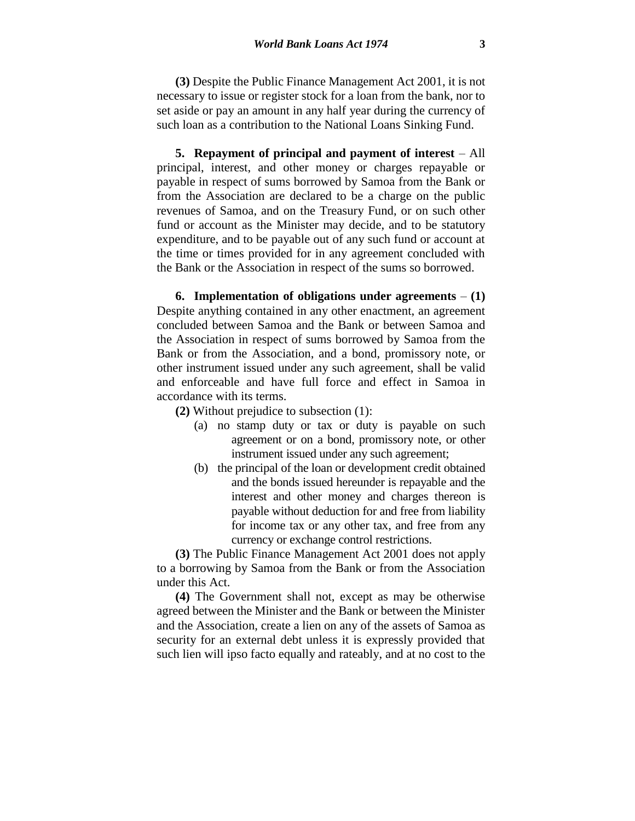**(3)** Despite the Public Finance Management Act 2001, it is not necessary to issue or register stock for a loan from the bank, nor to set aside or pay an amount in any half year during the currency of such loan as a contribution to the National Loans Sinking Fund.

**5. Repayment of principal and payment of interest** – All principal, interest, and other money or charges repayable or payable in respect of sums borrowed by Samoa from the Bank or from the Association are declared to be a charge on the public revenues of Samoa, and on the Treasury Fund, or on such other fund or account as the Minister may decide, and to be statutory expenditure, and to be payable out of any such fund or account at the time or times provided for in any agreement concluded with the Bank or the Association in respect of the sums so borrowed.

**6. Implementation of obligations under agreements**  $- (1)$ Despite anything contained in any other enactment, an agreement concluded between Samoa and the Bank or between Samoa and the Association in respect of sums borrowed by Samoa from the Bank or from the Association, and a bond, promissory note, or other instrument issued under any such agreement, shall be valid and enforceable and have full force and effect in Samoa in accordance with its terms.

**(2)** Without prejudice to subsection (1):

- (a) no stamp duty or tax or duty is payable on such agreement or on a bond, promissory note, or other instrument issued under any such agreement;
- (b) the principal of the loan or development credit obtained and the bonds issued hereunder is repayable and the interest and other money and charges thereon is payable without deduction for and free from liability for income tax or any other tax, and free from any currency or exchange control restrictions.

**(3)** The Public Finance Management Act 2001 does not apply to a borrowing by Samoa from the Bank or from the Association under this Act.

**(4)** The Government shall not, except as may be otherwise agreed between the Minister and the Bank or between the Minister and the Association, create a lien on any of the assets of Samoa as security for an external debt unless it is expressly provided that such lien will ipso facto equally and rateably, and at no cost to the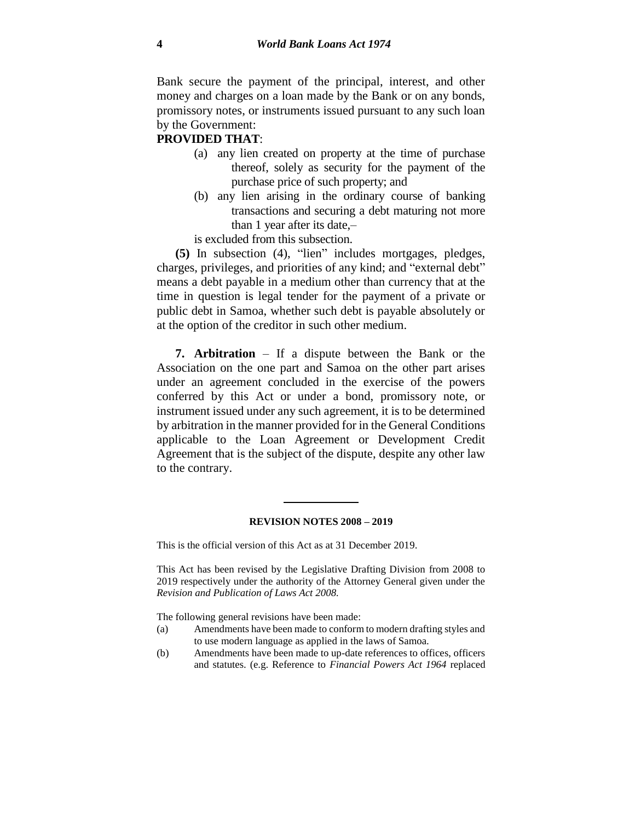Bank secure the payment of the principal, interest, and other money and charges on a loan made by the Bank or on any bonds, promissory notes, or instruments issued pursuant to any such loan by the Government:

## **PROVIDED THAT**:

- (a) any lien created on property at the time of purchase thereof, solely as security for the payment of the purchase price of such property; and
- (b) any lien arising in the ordinary course of banking transactions and securing a debt maturing not more than 1 year after its date,–

is excluded from this subsection.

**(5)** In subsection (4), "lien" includes mortgages, pledges, charges, privileges, and priorities of any kind; and "external debt" means a debt payable in a medium other than currency that at the time in question is legal tender for the payment of a private or public debt in Samoa, whether such debt is payable absolutely or at the option of the creditor in such other medium.

**7. Arbitration** – If a dispute between the Bank or the Association on the one part and Samoa on the other part arises under an agreement concluded in the exercise of the powers conferred by this Act or under a bond, promissory note, or instrument issued under any such agreement, it is to be determined by arbitration in the manner provided for in the General Conditions applicable to the Loan Agreement or Development Credit Agreement that is the subject of the dispute, despite any other law to the contrary.

## **REVISION NOTES 2008 – 2019**

This is the official version of this Act as at 31 December 2019.

This Act has been revised by the Legislative Drafting Division from 2008 to 2019 respectively under the authority of the Attorney General given under the *Revision and Publication of Laws Act 2008.*

The following general revisions have been made:

- (a) Amendments have been made to conform to modern drafting styles and to use modern language as applied in the laws of Samoa.
- (b) Amendments have been made to up-date references to offices, officers and statutes. (e.g. Reference to *Financial Powers Act 1964* replaced